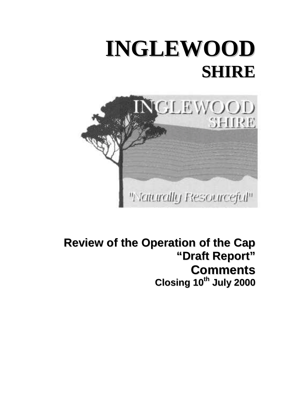



**Review of the Operation of the Cap "Draft Report" Comments Closing 10th July 2000**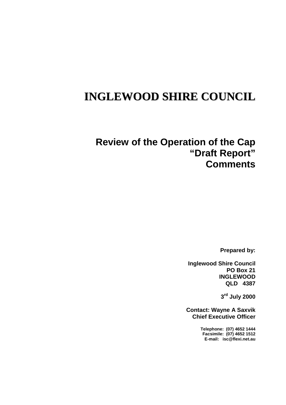# **INGLEWOOD SHIRE COUNCIL**

# **Review of the Operation of the Cap "Draft Report" Comments**

**Prepared by:**

**Inglewood Shire Council PO Box 21 INGLEWOOD QLD 4387**

**3rd July 2000**

**Contact: Wayne A Saxvik Chief Executive Officer**

> **Telephone: (07) 4652 1444 Facsimile: (07) 4652 1512 E-mail: isc@flexi.net.au**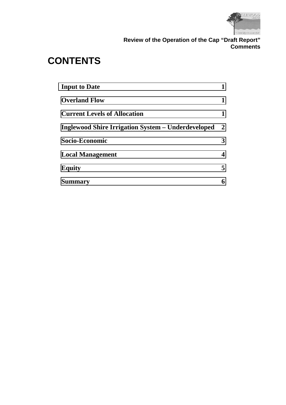

# **CONTENTS**

| <b>Input to Date</b>                                      |                  |
|-----------------------------------------------------------|------------------|
| <b>Overland Flow</b>                                      | 1                |
| <b>Current Levels of Allocation</b>                       | 1                |
| <b>Inglewood Shire Irrigation System – Underdeveloped</b> | $\boldsymbol{2}$ |
| Socio-Economic                                            | 3                |
| <b>Local Management</b>                                   | 4                |
| <b>Equity</b>                                             | 5                |
| <b>Summary</b>                                            | 6                |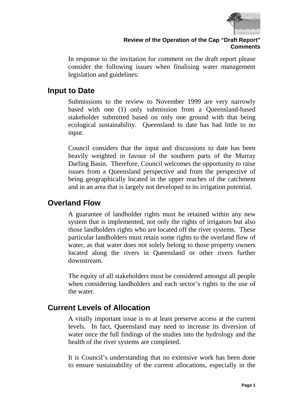

<span id="page-3-0"></span>In response to the invitation for comment on the draft report please consider the following issues when finalising water management legislation and guidelines:

# **Input to Date**

Submissions to the review to November 1999 are very narrowly based with one (1) only submission from a Queensland-based stakeholder submitted based on only one ground with that being ecological sustainability. Queensland to date has had little to no input.

Council considers that the input and discussions to date has been heavily weighted in favour of the southern parts of the Murray Darling Basin. Therefore, Council welcomes the opportunity to raise issues from a Queensland perspective and from the perspective of being geographically located in the upper reaches of the catchment and in an area that is largely not developed to its irrigation potential.

# **Overland Flow**

A guarantee of landholder rights must be retained within any new system that is implemented, not only the rights of irrigators but also those landholders rights who are located off the river systems. These particular landholders must retain some rights to the overland flow of water, as that water does not solely belong to those property owners located along the rivers in Queensland or other rivers further downstream.

The equity of all stakeholders must be considered amongst all people when considering landholders and each sector's rights to the use of the water.

# **Current Levels of Allocation**

A vitally important issue is to at least preserve access at the current levels. In fact, Queensland may need to increase its diversion of water once the full findings of the studies into the hydrology and the health of the river systems are completed.

It is Council's understanding that no extensive work has been done to ensure sustainability of the current allocations, especially in the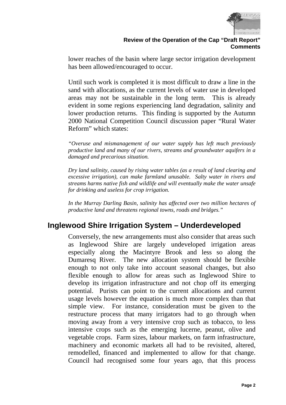

<span id="page-4-0"></span>lower reaches of the basin where large sector irrigation development has been allowed/encouraged to occur.

Until such work is completed it is most difficult to draw a line in the sand with allocations, as the current levels of water use in developed areas may not be sustainable in the long term. This is already evident in some regions experiencing land degradation, salinity and lower production returns. This finding is supported by the Autumn 2000 National Competition Council discussion paper "Rural Water Reform" which states:

*"Overuse and mismanagement of our water supply has left much previously productive land and many of our rivers, streams and groundwater aquifers in a damaged and precarious situation.*

*Dry land salinity, caused by rising water tables (as a result of land clearing and excessive irrigation), can make farmland unusable. Salty water in rivers and streams harms native fish and wildlife and will eventually make the water unsafe for drinking and useless for crop irrigation.*

*In the Murray Darling Basin, salinity has affected over two million hectares of productive land and threatens regional towns, roads and bridges."*

# **Inglewood Shire Irrigation System – Underdeveloped**

Conversely, the new arrangements must also consider that areas such as Inglewood Shire are largely undeveloped irrigation areas especially along the Macintyre Brook and less so along the Dumaresq River. The new allocation system should be flexible enough to not only take into account seasonal changes, but also flexible enough to allow for areas such as Inglewood Shire to develop its irrigation infrastructure and not chop off its emerging potential. Purists can point to the current allocations and current usage levels however the equation is much more complex than that simple view. For instance, consideration must be given to the restructure process that many irrigators had to go through when moving away from a very intensive crop such as tobacco, to less intensive crops such as the emerging lucerne, peanut, olive and vegetable crops. Farm sizes, labour markets, on farm infrastructure, machinery and economic markets all had to be revisited, altered, remodelled, financed and implemented to allow for that change. Council had recognised some four years ago, that this process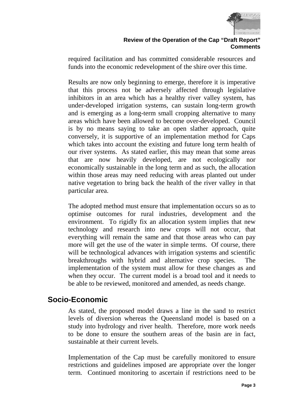

<span id="page-5-0"></span>required facilitation and has committed considerable resources and funds into the economic redevelopment of the shire over this time.

Results are now only beginning to emerge, therefore it is imperative that this process not be adversely affected through legislative inhibitors in an area which has a healthy river valley system, has under-developed irrigation systems, can sustain long-term growth and is emerging as a long-term small cropping alternative to many areas which have been allowed to become over-developed. Council is by no means saying to take an open slather approach, quite conversely, it is supportive of an implementation method for Caps which takes into account the existing and future long term health of our river systems. As stated earlier, this may mean that some areas that are now heavily developed, are not ecologically nor economically sustainable in the long term and as such, the allocation within those areas may need reducing with areas planted out under native vegetation to bring back the health of the river valley in that particular area.

The adopted method must ensure that implementation occurs so as to optimise outcomes for rural industries, development and the environment. To rigidly fix an allocation system implies that new technology and research into new crops will not occur, that everything will remain the same and that those areas who can pay more will get the use of the water in simple terms. Of course, there will be technological advances with irrigation systems and scientific breakthroughs with hybrid and alternative crop species. The implementation of the system must allow for these changes as and when they occur. The current model is a broad tool and it needs to be able to be reviewed, monitored and amended, as needs change.

# **Socio-Economic**

As stated, the proposed model draws a line in the sand to restrict levels of diversion whereas the Queensland model is based on a study into hydrology and river health. Therefore, more work needs to be done to ensure the southern areas of the basin are in fact, sustainable at their current levels.

Implementation of the Cap must be carefully monitored to ensure restrictions and guidelines imposed are appropriate over the longer term. Continued monitoring to ascertain if restrictions need to be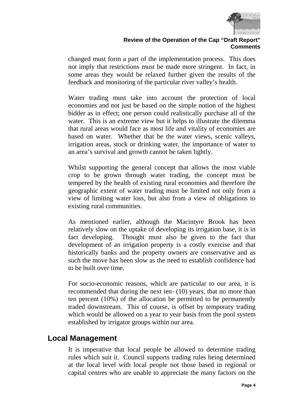

<span id="page-6-0"></span>changed must form a part of the implementation process. This does not imply that restrictions must be made more stringent. In fact, in some areas they would be relaxed further given the results of the feedback and monitoring of the particular river valley's health.

Water trading must take into account the protection of local economies and not just be based on the simple notion of the highest bidder as in effect; one person could realistically purchase all of the water. This is an extreme view but it helps to illustrate the dilemma that rural areas would face as most life and vitality of economies are based on water. Whether that be the water views, scenic valleys, irrigation areas, stock or drinking water, the importance of water to an area's survival and growth cannot be taken lightly.

Whilst supporting the general concept that allows the most viable crop to be grown through water trading, the concept must be tempered by the health of existing rural economies and therefore the geographic extent of water trading must be limited not only from a view of limiting water loss, but also from a view of obligations to existing rural communities.

As mentioned earlier, although the Macintyre Brook has been relatively slow on the uptake of developing its irrigation base, it is in fact developing. Thought must also be given to the fact that development of an irrigation property is a costly exercise and that historically banks and the property owners are conservative and as such the move has been slow as the need to establish confidence had to be built over time.

For socio-economic reasons, which are particular to our area, it is recommended that during the next ten- (10) years, that no more than ten percent (10%) of the allocation be permitted to be permanently traded downstream. This of course, is offset by temporary trading which would be allowed on a year to year basis from the pool system established by irrigator groups within our area.

### **Local Management**

It is imperative that local people be allowed to determine trading rules which suit it. Council supports trading rules being determined at the local level with local people not those based in regional or capital centres who are unable to appreciate the many factors on the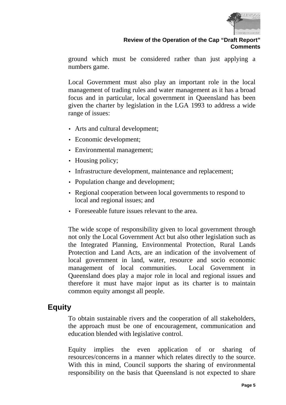

<span id="page-7-0"></span>ground which must be considered rather than just applying a numbers game.

Local Government must also play an important role in the local management of trading rules and water management as it has a broad focus and in particular, local government in Queensland has been given the charter by legislation in the LGA 1993 to address a wide range of issues:

- Arts and cultural development;
- Economic development;
- Environmental management;
- Housing policy;
- Infrastructure development, maintenance and replacement;
- Population change and development;
- Regional cooperation between local governments to respond to local and regional issues; and
- Foreseeable future issues relevant to the area.

The wide scope of responsibility given to local government through not only the Local Government Act but also other legislation such as the Integrated Planning, Environmental Protection, Rural Lands Protection and Land Acts, are an indication of the involvement of local government in land, water, resource and socio economic management of local communities. Local Government in Queensland does play a major role in local and regional issues and therefore it must have major input as its charter is to maintain common equity amongst all people.

# **Equity**

To obtain sustainable rivers and the cooperation of all stakeholders, the approach must be one of encouragement, communication and education blended with legislative control.

Equity implies the even application of or sharing of resources/concerns in a manner which relates directly to the source. With this in mind, Council supports the sharing of environmental responsibility on the basis that Queensland is not expected to share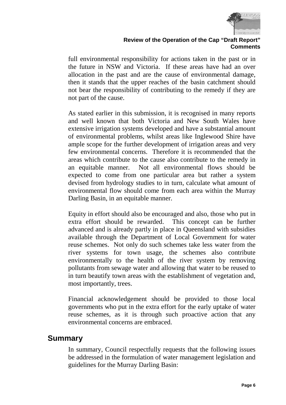

#### **Review of the Operation of the Cap "Draft Report" Comments**

<span id="page-8-0"></span>full environmental responsibility for actions taken in the past or in the future in NSW and Victoria. If these areas have had an over allocation in the past and are the cause of environmental damage, then it stands that the upper reaches of the basin catchment should not bear the responsibility of contributing to the remedy if they are not part of the cause.

As stated earlier in this submission, it is recognised in many reports and well known that both Victoria and New South Wales have extensive irrigation systems developed and have a substantial amount of environmental problems, whilst areas like Inglewood Shire have ample scope for the further development of irrigation areas and very few environmental concerns. Therefore it is recommended that the areas which contribute to the cause also contribute to the remedy in an equitable manner. Not all environmental flows should be expected to come from one particular area but rather a system devised from hydrology studies to in turn, calculate what amount of environmental flow should come from each area within the Murray Darling Basin, in an equitable manner.

Equity in effort should also be encouraged and also, those who put in extra effort should be rewarded. This concept can be further advanced and is already partly in place in Queensland with subsidies available through the Department of Local Government for water reuse schemes. Not only do such schemes take less water from the river systems for town usage, the schemes also contribute environmentally to the health of the river system by removing pollutants from sewage water and allowing that water to be reused to in turn beautify town areas with the establishment of vegetation and, most importantly, trees.

Financial acknowledgement should be provided to those local governments who put in the extra effort for the early uptake of water reuse schemes, as it is through such proactive action that any environmental concerns are embraced.

#### **Summary**

In summary, Council respectfully requests that the following issues be addressed in the formulation of water management legislation and guidelines for the Murray Darling Basin: